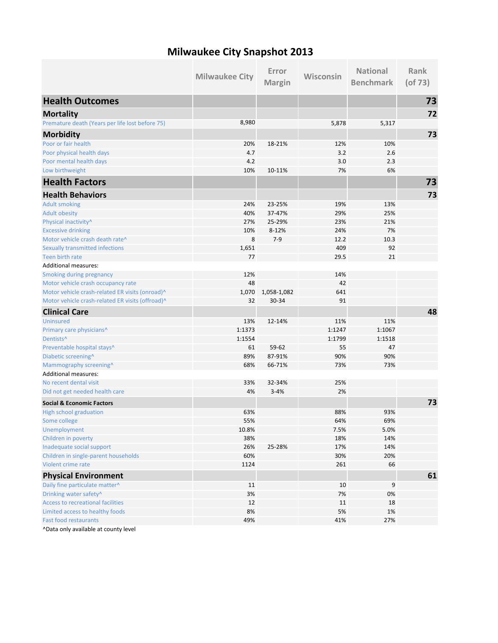## **Milwaukee City Snapshot 2013**

|                                                   | <b>Milwaukee City</b> | Error<br><b>Margin</b> | Wisconsin  | <b>National</b><br><b>Benchmark</b> | Rank<br>$($ of 73 $)$ |
|---------------------------------------------------|-----------------------|------------------------|------------|-------------------------------------|-----------------------|
| <b>Health Outcomes</b>                            |                       |                        |            |                                     | 73                    |
| <b>Mortality</b>                                  |                       |                        |            |                                     | 72                    |
| Premature death (Years per life lost before 75)   | 8,980                 |                        | 5,878      | 5,317                               |                       |
| <b>Morbidity</b>                                  |                       |                        |            |                                     | 73                    |
| Poor or fair health                               | 20%                   | 18-21%                 | 12%        | 10%                                 |                       |
| Poor physical health days                         | 4.7                   |                        | 3.2        | 2.6                                 |                       |
| Poor mental health days                           | 4.2                   |                        | 3.0        | 2.3                                 |                       |
| Low birthweight                                   | 10%                   | 10-11%                 | 7%         | 6%                                  |                       |
| <b>Health Factors</b>                             |                       |                        |            |                                     | 73                    |
|                                                   |                       |                        |            |                                     | 73                    |
| <b>Health Behaviors</b>                           |                       |                        |            |                                     |                       |
| <b>Adult smoking</b>                              | 24%                   | 23-25%<br>37-47%       | 19%        | 13%                                 |                       |
| <b>Adult obesity</b>                              | 40%                   | 25-29%                 | 29%        | 25%                                 |                       |
| Physical inactivity^<br><b>Excessive drinking</b> | 27%<br>10%            | 8-12%                  | 23%<br>24% | 21%<br>7%                           |                       |
| Motor vehicle crash death rate^                   | 8                     | $7 - 9$                | 12.2       | 10.3                                |                       |
| Sexually transmitted infections                   | 1,651                 |                        | 409        | 92                                  |                       |
| Teen birth rate                                   | 77                    |                        | 29.5       | 21                                  |                       |
| <b>Additional measures:</b>                       |                       |                        |            |                                     |                       |
| Smoking during pregnancy                          | 12%                   |                        | 14%        |                                     |                       |
| Motor vehicle crash occupancy rate                | 48                    |                        | 42         |                                     |                       |
| Motor vehicle crash-related ER visits (onroad)^   | 1,070                 | 1,058-1,082            | 641        |                                     |                       |
| Motor vehicle crash-related ER visits (offroad)^  | 32                    | 30-34                  | 91         |                                     |                       |
| <b>Clinical Care</b>                              |                       |                        |            |                                     | 48                    |
| <b>Uninsured</b>                                  | 13%                   | 12-14%                 | 11%        | 11%                                 |                       |
| Primary care physicians <sup>^</sup>              | 1:1373                |                        | 1:1247     | 1:1067                              |                       |
| Dentists <sup>^</sup>                             | 1:1554                |                        | 1:1799     | 1:1518                              |                       |
| Preventable hospital stays^                       | 61                    | 59-62                  | 55         | 47                                  |                       |
| Diabetic screening^                               | 89%                   | 87-91%                 | 90%        | 90%                                 |                       |
| Mammography screening^                            | 68%                   | 66-71%                 | 73%        | 73%                                 |                       |
| <b>Additional measures:</b>                       |                       |                        |            |                                     |                       |
| No recent dental visit                            | 33%                   | 32-34%                 | 25%        |                                     |                       |
| Did not get needed health care                    | 4%                    | $3 - 4%$               | 2%         |                                     |                       |
| <b>Social &amp; Economic Factors</b>              |                       |                        |            |                                     | 73                    |
| <b>High school graduation</b>                     | 63%                   |                        | 88%        | 93%                                 |                       |
| Some college                                      | 55%                   |                        | 64%        | 69%                                 |                       |
| Unemployment                                      | 10.8%                 |                        | 7.5%       | 5.0%                                |                       |
| Children in poverty                               | 38%                   |                        | 18%        | 14%                                 |                       |
| Inadequate social support                         | 26%                   | 25-28%                 | 17%        | 14%                                 |                       |
| Children in single-parent households              | 60%                   |                        | 30%        | 20%                                 |                       |
| Violent crime rate                                | 1124                  |                        | 261        | 66                                  |                       |
| <b>Physical Environment</b>                       |                       |                        |            |                                     | 61                    |
| Daily fine particulate matter^                    | 11                    |                        | 10         | 9                                   |                       |
| Drinking water safety^                            | 3%                    |                        | 7%         | 0%                                  |                       |
| Access to recreational facilities                 | 12                    |                        | 11         | 18                                  |                       |
| Limited access to healthy foods                   | $8%$                  |                        | 5%         | 1%                                  |                       |
| <b>Fast food restaurants</b>                      | 49%                   |                        | 41%        | 27%                                 |                       |

^Data only available at county level